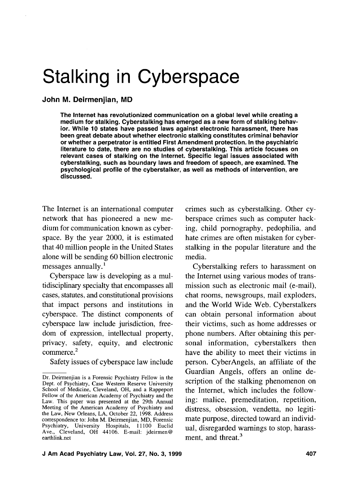# Stalking in Cyberspace

John M. Deirmenjian, MD

The Internet has revolutionized communication on a global level while creating a medium for stalking. Cyberstalking has emerged as a new form of stalking behavior. While 10 states have passed laws against electronic harassment, there has been great debate about whether electronic stalking constitutes criminal behavior or whether a perpetrator is entitled First Amendment protection. In the psychiatric literature to date, there are no studies of cyberstalking. This article focuses on relevant cases of stalking on the Internet. Specific legal issues associated with cyberstalking, such as boundary laws and freedom of speech, are examined. The psychological profile of the cyberstalker, as well as methods of intervention, are discussed.

The Internet is an international computer network that has pioneered a new medium for communication known as cyberspace. By the year 2000, it is estimated that 40 million people in the United States alone will be sending 60 billion electronic messages annually. '

Cyberspace law is developing as a multidisciplinary specialty that encompasses all cases, statutes, and constitutional provisions that impact persons and institutions in cyberspace. The distinct components of cyberspace law include jurisdiction, freedom of expression, intellectual property, privacy, safety, equity, and electronic commerce.<sup>2</sup>

Safety issues of cyberspace law include

crimes such as cyberstalking. Other cyberspace crimes such as computer hacking, child pornography, pedophilia, and hate crimes are often mistaken for cyberstalking in the popular literature and the media.

Cyberstalking refers to harassment on the Internet using various modes of transmission such as electronic mail (e-mail), chat rooms, newsgroups, mail exploders, and the World Wide Web. Cyberstalkers can obtain personal information about their victims, such as home addresses or phone numbers. After obtaining this personal information, cyberstalkers then have the ability to meet their victims in person. CyberAngels, an affiliate of the Guardian Angels, offers an online description of the stalking phenomenon on the Internet, which includes the following: malice, premeditation, repetition, distress, obsession, vendetta, no legitimate purpose, directed toward an individual, disregarded warnings to stop, harassment, and threat.<sup>3</sup>

Dr. Deirmenjian is a Forensic Psychiatry Fellow in the Dept. of Psychiatry, Case Western Reserve University School of Medicine, Cleveland, OH, and a Rappeport Fellow of the American Academy of Psychiatry and the Law. This paper was presented at the 29th Annual Meeting of the American Academy of Psychiatry and the Law, New Orleans, LA, October 22, 1998. Address correspondence to: John M. Deirmenjian, MD, Forensic Psychiatry, University Hospitals, 11 100 Euclid Ave., Cleveland, OH 44106. E-mail: jdeirmen@ earthlink.net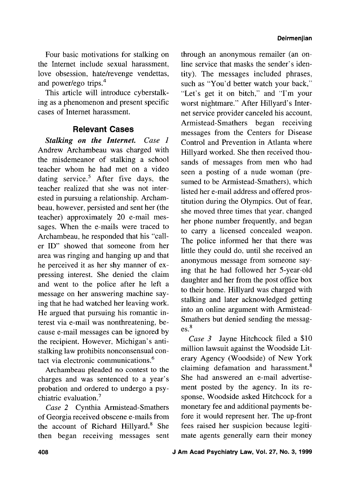Four basic motivations for stalking on the Internet include sexual harassment, love obsession, hate/revenge vendettas, and power/ego trips.<sup>4</sup>

This article will introduce cyberstalking as a phenomenon and present specific cases of Internet harassment.

# **Relevant Cases**

*Stalking on the Internet.* Case *1*  Andrew Archambeau was charged with the misdemeanor of stalking a school teacher whom he had met on a video dating service.<sup>5</sup> After five days, the teacher realized that she was not interested in pursuing a relationship. Archambeau, however, persisted and sent her (the teacher) approximately 20 e-mail messages. When the e-mails were traced to Archambeau, he responded that his "caller ID" showed that someone from her area was ringing and hanging up and that he perceived it as her shy manner of expressing interest. She denied the claim and went to the police after he left a message on her answering machine saying that he had watched her leaving work. He argued that pursuing his romantic interest via e-mail was nonthreatening, because e-mail messages can be ignored by the recipient. However, Michigan's antistalking law prohibits nonconsensual contact via electronic communications.<sup>6</sup>

Archambeau pleaded no contest to the charges and was sentenced to a year's probation and ordered to undergo a psychiatric evaluation. $<sup>7</sup>$ </sup>

Case 2 Cynthia Armistead-Smathers of Georgia received obscene e-mails from the account of Richard  $Hillyard.<sup>8</sup>$  She then began receiving messages sent

through an anonymous remailer (an online service that masks the sender's identity). The messages included phrases, such as "You'd better watch your back," "Let's get it on bitch," and "I'm your worst nightmare." After Hillyard's Internet service provider canceled his account, Armistead-Smathers began receiving messages from the Centers for Disease Control and Prevention in Atlanta where Hillyard worked. She then received thousands of messages from men who had seen a posting of a nude woman (presumed to be Arrnistead-Smathers), which listed her e-mail address and offered prostitution during the Olympics. Out of fear, she moved three times that year, changed her phone number frequently, and began to carry a licensed concealed weapon. The police informed her that there was little they could do, until she received an anonymous message from someone saying that he had followed her 5-year-old daughter and her from the post office box to their home. Hillyard was charged with stalking and later acknowledged getting into an online argument with Arrnistead-Smathers but denied sending the messag- $\mathbf{e}$ s.<sup>8</sup>

Case 3 Jayne Hitchcock filed a \$10 million lawsuit against the Woodside Literary Agency (Woodside) of New York claiming defamation and harassment. $8$ She had answered an e-mail advertisement posted by the agency. In its response, Woodside asked Hitchcock for a monetary fee and additional payments before it would represent her. The up-front fees raised her suspicion because legitimate agents generally earn their money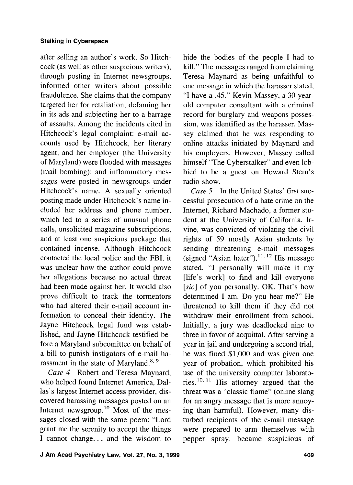## **Stalking in Cyberspace**

after selling an author's work. So Hitchcock (as well as other suspicious writers), through posting in Internet newsgroups, informed other writers about possible fraudulence. She claims that the company targeted her for retaliation, defaming her in its ads and subjecting her to a barrage of assaults. Among the incidents cited in Hitchcock's legal complaint: e-mail accounts used by Hitchcock, her literary agent, and her employer (the University of Maryland) were flooded with messages (mail bombing); and inflammatory messages were posted in newsgroups under Hitchcock's name. A sexually oriented posting made under Hitchcock's name included her address and phone number, which led to a series of unusual phone calls, unsolicited magazine subscriptions, and at least one suspicious package that contained incense. Although Hitchcock contacted the local police and the FBI, it was unclear how the author could prove her allegations because no actual threat had been made against her. It would also prove difficult to track the tormentors who had altered their e-mail account information to conceal their identity. The Jayne Hitchcock legal fund was established, and Jayne Hitchcock testified before a Maryland subcomittee on behalf of a bill to punish instigators of e-mail harassment in the state of Maryland.<sup>8, 9</sup>

Case 4 Robert and Teresa Maynard, who helped found Internet America, Dallas's largest Internet access provider, discovered harassing messages posted on an Internet newsgroup.<sup>10</sup> Most of the messages closed with the same poem: "Lord grant me the serenity to accept the things I cannot change.. . and the wisdom to

hide the bodies of the people I had to kill." The messages ranged from claiming Teresa Maynard as being unfaithful to one message in which the harasser stated, "I have a .45." Kevin Massey, a 30-yearold computer consultant with a criminal record for burglary and weapons possession, was identified as the harasser. Massey claimed that he was responding to online attacks initiated by Maynard and his employers. However, Massey called himself "The Cyberstalker" and even lobbied to be a guest on Howard Stem's radio show. Case 5 In the United States' first suc-

cessful prosecution of a hate crime on the Internet, Richard Machado, a former student at the University of California, Irvine, was convicted of violating the civil rights of 59 mostly Asian students by sending threatening e-mail messages (signed "Asian hater").  $\frac{11, 12}{1}$  His message stated, "I personally will make it my [life's work] to find and kill everyone [sic] of you personally. OK. That's how determined I am. Do you hear me?" He threatened to kill them if they did not withdraw their enrollment from school. Initially, a jury was deadlocked nine to three in favor of acquittal. After serving a year in jail and undergoing a second trial, he was fined \$1,000 and was given one year of probation, which prohibited his use of the university computer laborato-<br>ries.<sup>10, 11</sup> His attorney argued that the threat was a "classic flame" (online slang for an angry message that is more annoying than harmful). However, many disturbed recipients of the e-mail message were prepared to arm themselves with pepper spray, became suspicious of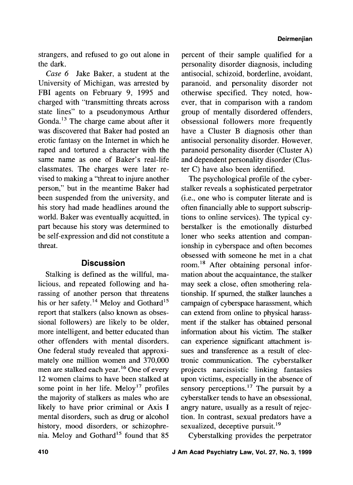strangers, and refused to go out alone in the dark.

Case 6 Jake Baker, a student at the University of Michigan, was arrested by FBI agents on February 9, 1995 and charged with "transmitting threats across state lines" to a pseudonymous Arthur Gonda.<sup>13</sup> The charge came about after it was discovered that Baker had posted an erotic fantasy on the Internet in which he raped and tortured a character with the same name as one of Baker's real-life classmates. The charges were later revised to making a "threat to injure another person," but in the meantime Baker had been suspended from the university, and his story had made headlines around the world. Baker was eventually acquitted, in part because his story was determined to be self-expression and did not constitute a threat.

## **Discussion**

Stalking is defined as the willful, malicious, and repeated following and harassing of another person that threatens his or her safety.<sup>14</sup> Meloy and Gothard<sup>15</sup> report that stalkers (also known as obsessional followers) are likely to be older, more intelligent, and better educated than other offenders with mental disorders. One federal study revealed that approximately one million women and 370,000 men are stalked each year.<sup>16</sup> One of every 12 women claims to have been stalked at some point in her life.  $\text{Meloy}^{17}$  profiles the majority of stalkers as males who are likely to have prior criminal or Axis I mental disorders, such as drug or alcohol history, mood disorders, or schizophrenia. Meloy and Gothard<sup>15</sup> found that 85

percent of their sample qualified for a personality disorder diagnosis, including antisocial, schizoid, borderline, avoidant, paranoid, and personality disorder not otherwise specified. They noted, however, that in comparison with a random group of mentally disordered offenders, obsessional followers more frequently have a Cluster B diagnosis other than antisocial personality disorder. However, paranoid personality disorder (Cluster **A)**  and dependent personality disorder (Cluster C) have also been identified.

The psychological profile of the cyberstalker reveals a sophisticated perpetrator (i.e., one who is computer literate and is often financially able to support subscriptions to online services). The typical cyberstalker is the emotionally disturbed loner who seeks attention and companionship in cyberspace and often becomes obsessed with someone he met in a chat room.<sup>18</sup> After obtaining personal information about the acquaintance, the stalker may seek a close, often smothering relationship. If spurned, the stalker launches a campaign of cyberspace harassment, which can extend from online to physical harassment if the stalker has obtained personal information about his victim. The stalker can experience sigmficant attachment issues and transference as a result of electronic communication. The cyberstalker projects narcissistic linking fantasies upon victims, especially in the absence of sensory perceptions.<sup>17</sup> The pursuit by a cyberstalker tends to have an obsessional, angry nature, usually as a result of rejection. In contrast, sexual predators have a sexualized, deceptive pursuit.<sup>19</sup>

Cyberstalking provides the perpetrator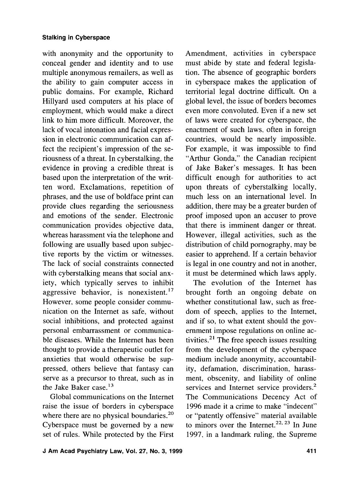with anonymity and the opportunity to conceal gender and identity and to use multiple anonymous remailers, as well as the ability to gain computer access in public domains. For example, Richard Hillyard used computers at his place of employment, which would make a direct link to him more difficult. Moreover, the lack of vocal intonation and facial expression in electronic communication can affect the recipient's impression of the seriousness of a threat. In cyberstalking, the evidence in proving a credible threat is based upon the interpretation of the written word. Exclamations, repetition of phrases, and the use of boldface print can provide clues regarding the seriousness and emotions of the sender. Electronic communication provides objective data, whereas harassment via the telephone and following are usually based upon subjective reports by the victim or witnesses. The lack of social constraints connected with cyberstalking means that social anxiety, which typically serves to inhibit aggressive behavior, is nonexistent. $17$ However, some people consider communication on the Internet as safe, without social inhibitions, and protected against personal embarrassment or communicable diseases. While the Internet has been thought to provide a therapeutic outlet for anxieties that would otherwise be suppressed, others believe that fantasy can serve as a precursor to threat, such as in the Jake Baker case.<sup>13</sup>

Global communications on the Internet raise the issue of borders in cyberspace where there are no physical boundaries. $20$ Cyberspace must be governed by a new set of rules. While protected by the First

Amendment, activities in cyberspace must abide by state and federal legislation. The absence of geographic borders in cyberspace makes the application of territorial legal doctrine difficult. On a global level, the issue of borders becomes even more convoluted. Even if a new set of laws were created for cyberspace, the enactment of such laws, often in foreign countries, would be nearly impossible. For example, it was impossible to find "Arthur Gonda," the Canadian recipient of Jake Baker's messages. It has been difficult enough for authorities to act upon threats of cyberstalking locally, much less on an international level. In addition, there may be a greater burden of proof imposed upon an accuser to prove that there is imminent danger or threat. However, illegal activities, such as the distribution of child pornography, may be easier to apprehend. If a certain behavior is legal in one country and not in another, it must be determined which laws apply.

The evolution of the Internet has brought forth an ongoing debate on whether constitutional law, such as freedom of speech, applies to the Internet, and if so, to what extent should the government impose regulations on online activities. $^{21}$  The free speech issues resulting from the development of the cyberspace medium include anonymity, accountability, defamation, discrimination, harassment, obscenity, and liability of online services and Internet service providers.<sup>2</sup> The Communications Decency Act of 1996 made it a crime to make "indecent" or "patently offensive" material available to minors over the Internet.<sup>22, 23</sup> In June 1997, in a landmark ruling, the Supreme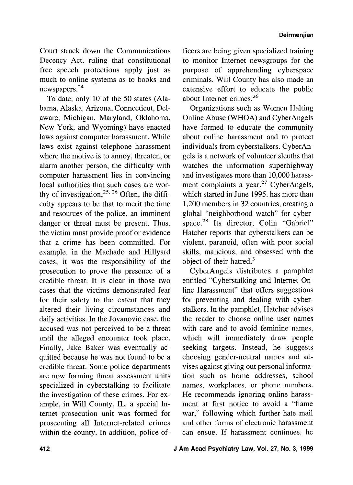Court struck down the Communications Decency Act, ruling that constitutional free speech protections apply just as much to online systems as to books and newspapers.<sup>24</sup>

To date, only 10 of the 50 states (Alabama, Alaska, Arizona, Connecticut, Delaware, Michigan, Maryland, Oklahoma, New York, and Wyoming) have enacted laws against computer harassment. While laws exist against telephone harassment where the motive is to annoy, threaten, or alarm another person, the difficulty with computer harassment lies in convincing local authorities that such cases are worthy of investigation.<sup>25, 26</sup> Often, the difficulty appears to be that to merit the time and resources of the police, an imminent danger or threat must be present. Thus, the victim must provide proof or evidence that a crime has been committed. For example, in the Machado and Hillyard cases, it was the responsibility of the prosecution to prove the presence of a credible threat. It is clear in those two cases that the victims demonstrated fear for their safety to the extent that they altered their living circumstances and daily activities. In the Jovanovic case, the accused was not perceived to be a threat until the alleged encounter took place. Finally, Jake Baker was eventually acquitted because he was not found to be a credible threat. Some police departments are now forming threat assessment units specialized in cyberstalking to facilitate the investigation of these crimes. For example, in Will County, IL, a special Internet prosecution unit was formed for prosecuting all Internet-related crimes within the county. In addition, police officers are being given specialized training to monitor Internet newsgroups for the purpose of apprehending cyberspace criminals. Will County has also made an extensive effort to educate the public about Internet crimes.26

Organizations such as Women Halting Online Abuse (WHOA) and CyberAngels have formed to educate the community about online harassment and to protect individuals from cyberstalkers. CyberAngels is a network of volunteer sleuths that watches the information superhighway and investigates more than 10,000 harassment complaints a year. $27$  CyberAngels, which started in June 1995, has more than 1,200 members in 32 countries, creating a global "neighborhood watch" for cyberspace.<sup>28</sup> Its director, Colin "Gabriel" Hatcher reports that cyberstalkers can be violent, paranoid, often with poor social skills, malicious, and obsessed with the object of their hatred.3

CyberAngels distributes a pamphlet entitled "Cyberstalking and Internet Online Harassment" that offers suggestions for preventing and dealing with cyberstalkers. In the pamphlet, Hatcher advises the reader to choose online user names with care and to avoid feminine names, which will immediately draw people seeking targets. Instead, he suggests choosing gender-neutral names and advises against giving out personal information such as home addresses, school names, workplaces, or phone numbers. He recommends ignoring online harassment at first notice to avoid a "flame war," following which further hate mail and other forms of electronic harassment can ensue. If harassment continues, he